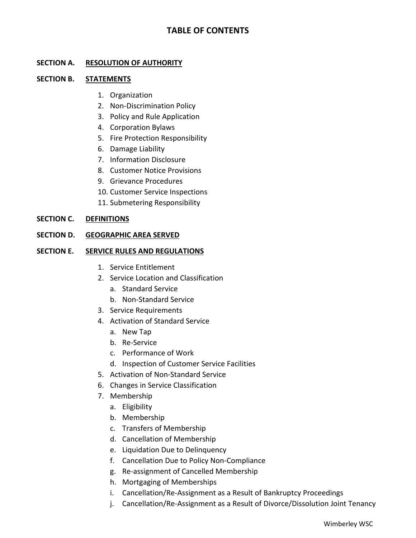# **TABLE OF CONTENTS**

## **SECTION A. RESOLUTION OF AUTHORITY**

### **SECTION B. STATEMENTS**

- 1. Organization
- 2. Non-Discrimination Policy
- 3. Policy and Rule Application
- 4. Corporation Bylaws
- 5. Fire Protection Responsibility
- 6. Damage Liability
- 7. Information Disclosure
- 8. Customer Notice Provisions
- 9. Grievance Procedures
- 10. Customer Service Inspections
- 11. Submetering Responsibility

### **SECTION C. DEFINITIONS**

## **SECTION D. GEOGRAPHIC AREA SERVED**

### **SECTION E. SERVICE RULES AND REGULATIONS**

- 1. Service Entitlement
- 2. Service Location and Classification
	- a. Standard Service
	- b. Non-Standard Service
- 3. Service Requirements
- 4. Activation of Standard Service
	- a. New Tap
	- b. Re-Service
	- c. Performance of Work
	- d. Inspection of Customer Service Facilities
- 5. Activation of Non-Standard Service
- 6. Changes in Service Classification
- 7. Membership
	- a. Eligibility
	- b. Membership
	- c. Transfers of Membership
	- d. Cancellation of Membership
	- e. Liquidation Due to Delinquency
	- f. Cancellation Due to Policy Non-Compliance
	- g. Re-assignment of Cancelled Membership
	- h. Mortgaging of Memberships
	- i. Cancellation/Re-Assignment as a Result of Bankruptcy Proceedings
	- j. Cancellation/Re-Assignment as a Result of Divorce/Dissolution Joint Tenancy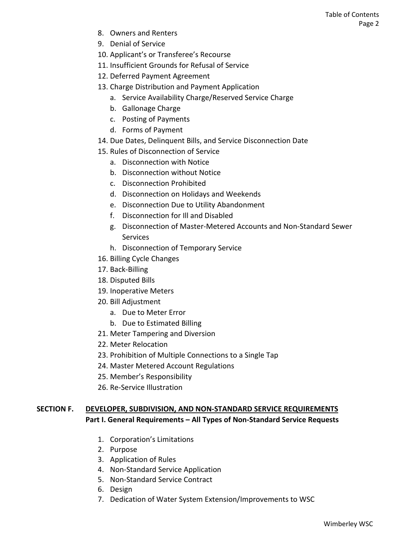- 8. Owners and Renters
- 9. Denial of Service
- 10. Applicant's or Transferee's Recourse
- 11. Insufficient Grounds for Refusal of Service
- 12. Deferred Payment Agreement
- 13. Charge Distribution and Payment Application
	- a. Service Availability Charge/Reserved Service Charge
	- b. Gallonage Charge
	- c. Posting of Payments
	- d. Forms of Payment
- 14. Due Dates, Delinquent Bills, and Service Disconnection Date
- 15. Rules of Disconnection of Service
	- a. Disconnection with Notice
	- b. Disconnection without Notice
	- c. Disconnection Prohibited
	- d. Disconnection on Holidays and Weekends
	- e. Disconnection Due to Utility Abandonment
	- f. Disconnection for Ill and Disabled
	- g. Disconnection of Master-Metered Accounts and Non-Standard Sewer Services
	- h. Disconnection of Temporary Service
- 16. Billing Cycle Changes
- 17. Back-Billing
- 18. Disputed Bills
- 19. Inoperative Meters
- 20. Bill Adjustment
	- a. Due to Meter Error
	- b. Due to Estimated Billing
- 21. Meter Tampering and Diversion
- 22. Meter Relocation
- 23. Prohibition of Multiple Connections to a Single Tap
- 24. Master Metered Account Regulations
- 25. Member's Responsibility
- 26. Re-Service Illustration

# **SECTION F. DEVELOPER, SUBDIVISION, AND NON-STANDARD SERVICE REQUIREMENTS Part I. General Requirements – All Types of Non-Standard Service Requests**

- 1. Corporation's Limitations
- 2. Purpose
- 3. Application of Rules
- 4. Non-Standard Service Application
- 5. Non-Standard Service Contract
- 6. Design
- 7. Dedication of Water System Extension/Improvements to WSC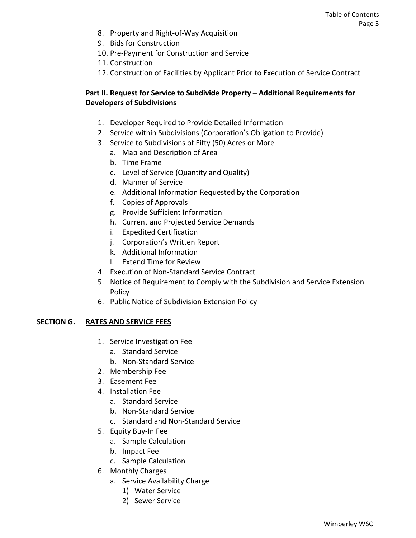- 8. Property and Right-of-Way Acquisition
- 9. Bids for Construction
- 10. Pre-Payment for Construction and Service
- 11. Construction
- 12. Construction of Facilities by Applicant Prior to Execution of Service Contract

# **Part II. Request for Service to Subdivide Property – Additional Requirements for Developers of Subdivisions**

- 1. Developer Required to Provide Detailed Information
- 2. Service within Subdivisions (Corporation's Obligation to Provide)
- 3. Service to Subdivisions of Fifty (50) Acres or More
	- a. Map and Description of Area
	- b. Time Frame
	- c. Level of Service (Quantity and Quality)
	- d. Manner of Service
	- e. Additional Information Requested by the Corporation
	- f. Copies of Approvals
	- g. Provide Sufficient Information
	- h. Current and Projected Service Demands
	- i. Expedited Certification
	- j. Corporation's Written Report
	- k. Additional Information
	- l. Extend Time for Review
- 4. Execution of Non-Standard Service Contract
- 5. Notice of Requirement to Comply with the Subdivision and Service Extension Policy
- 6. Public Notice of Subdivision Extension Policy

## **SECTION G. RATES AND SERVICE FEES**

- 1. Service Investigation Fee
	- a. Standard Service
	- b. Non-Standard Service
- 2. Membership Fee
- 3. Easement Fee
- 4. Installation Fee
	- a. Standard Service
	- b. Non-Standard Service
	- c. Standard and Non-Standard Service
- 5. Equity Buy-In Fee
	- a. Sample Calculation
	- b. Impact Fee
	- c. Sample Calculation
- 6. Monthly Charges
	- a. Service Availability Charge
		- 1) Water Service
		- 2) Sewer Service